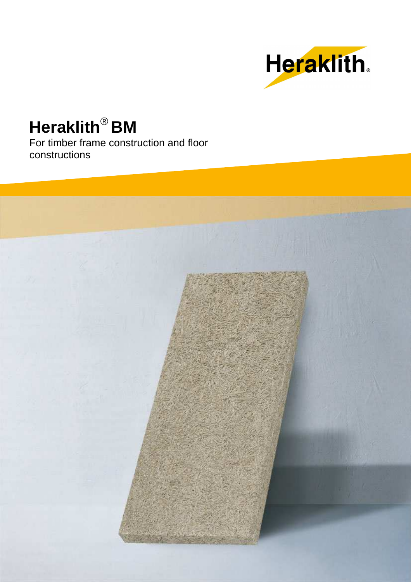

# **Heraklith**® **BM**

For timber frame construction and floor constructions